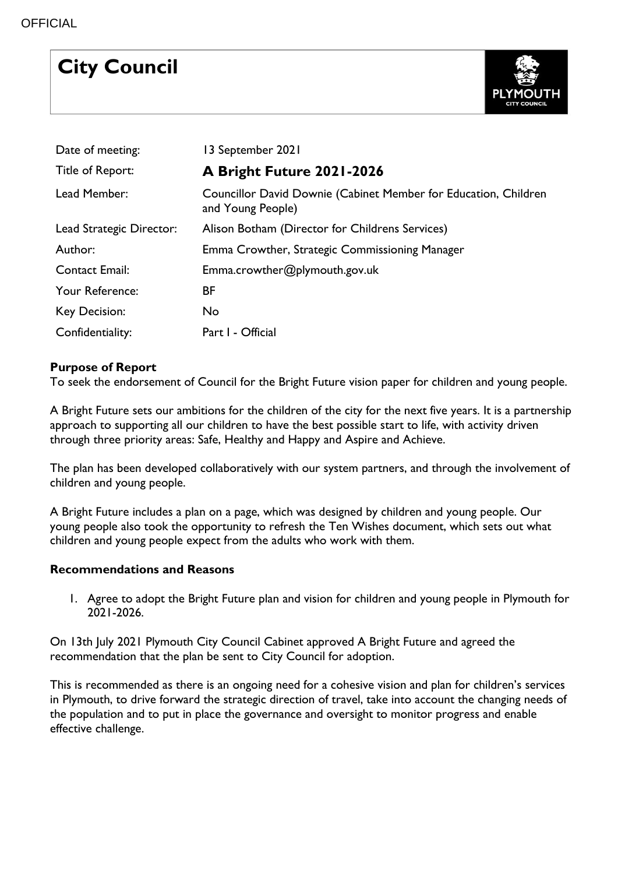# **City Council**



| Date of meeting:         | 13 September 2021                                                                    |
|--------------------------|--------------------------------------------------------------------------------------|
| Title of Report:         | A Bright Future 2021-2026                                                            |
| Lead Member:             | Councillor David Downie (Cabinet Member for Education, Children<br>and Young People) |
| Lead Strategic Director: | Alison Botham (Director for Childrens Services)                                      |
| Author:                  | Emma Crowther, Strategic Commissioning Manager                                       |
| <b>Contact Email:</b>    | Emma.crowther@plymouth.gov.uk                                                        |
| Your Reference:          | BF                                                                                   |
| Key Decision:            | No                                                                                   |
| Confidentiality:         | Part I - Official                                                                    |

## **Purpose of Report**

To seek the endorsement of Council for the Bright Future vision paper for children and young people.

A Bright Future sets our ambitions for the children of the city for the next five years. It is a partnership approach to supporting all our children to have the best possible start to life, with activity driven through three priority areas: Safe, Healthy and Happy and Aspire and Achieve.

The plan has been developed collaboratively with our system partners, and through the involvement of children and young people.

A Bright Future includes a plan on a page, which was designed by children and young people. Our young people also took the opportunity to refresh the Ten Wishes document, which sets out what children and young people expect from the adults who work with them.

### **Recommendations and Reasons**

1. Agree to adopt the Bright Future plan and vision for children and young people in Plymouth for 2021-2026.

On 13th July 2021 Plymouth City Council Cabinet approved A Bright Future and agreed the recommendation that the plan be sent to City Council for adoption.

This is recommended as there is an ongoing need for a cohesive vision and plan for children's services in Plymouth, to drive forward the strategic direction of travel, take into account the changing needs of the population and to put in place the governance and oversight to monitor progress and enable effective challenge.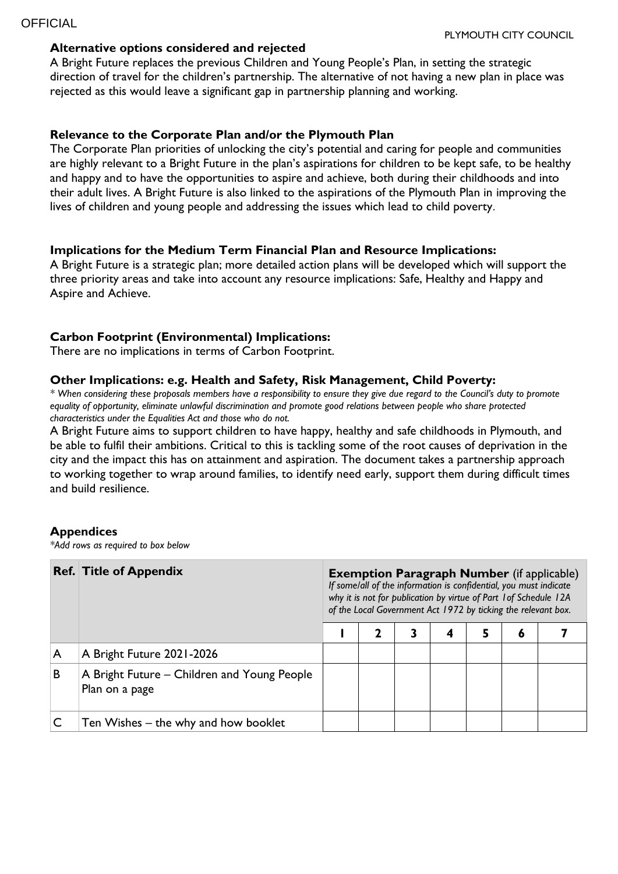#### **Alternative options considered and rejected**

A Bright Future replaces the previous Children and Young People's Plan, in setting the strategic direction of travel for the children's partnership. The alternative of not having a new plan in place was rejected as this would leave a significant gap in partnership planning and working.

#### **Relevance to the Corporate Plan and/or the Plymouth Plan**

The Corporate Plan priorities of unlocking the city's potential and caring for people and communities are highly relevant to a Bright Future in the plan's aspirations for children to be kept safe, to be healthy and happy and to have the opportunities to aspire and achieve, both during their childhoods and into their adult lives. A Bright Future is also linked to the aspirations of the Plymouth Plan in improving the lives of children and young people and addressing the issues which lead to child poverty.

#### **Implications for the Medium Term Financial Plan and Resource Implications:**

A Bright Future is a strategic plan; more detailed action plans will be developed which will support the three priority areas and take into account any resource implications: Safe, Healthy and Happy and Aspire and Achieve.

#### **Carbon Footprint (Environmental) Implications:**

There are no implications in terms of Carbon Footprint.

#### **Other Implications: e.g. Health and Safety, Risk Management, Child Poverty:**

*\* When considering these proposals members have a responsibility to ensure they give due regard to the Council's duty to promote equality of opportunity, eliminate unlawful discrimination and promote good relations between people who share protected characteristics under the Equalities Act and those who do not.*

A Bright Future aims to support children to have happy, healthy and safe childhoods in Plymouth, and be able to fulfil their ambitions. Critical to this is tackling some of the root causes of deprivation in the city and the impact this has on attainment and aspiration. The document takes a partnership approach to working together to wrap around families, to identify need early, support them during difficult times and build resilience.

#### **Appendices**

*\*Add rows as required to box below*

|   | <b>Ref. Title of Appendix</b>                                 | <b>Exemption Paragraph Number</b> (if applicable)<br>If some/all of the information is confidential, you must indicate<br>why it is not for publication by virtue of Part 1 of Schedule 12A<br>of the Local Government Act 1972 by ticking the relevant box. |  |  |   |   |   |  |  |  |
|---|---------------------------------------------------------------|--------------------------------------------------------------------------------------------------------------------------------------------------------------------------------------------------------------------------------------------------------------|--|--|---|---|---|--|--|--|
|   |                                                               |                                                                                                                                                                                                                                                              |  |  | 4 | 5 | Ō |  |  |  |
| A | A Bright Future 2021-2026                                     |                                                                                                                                                                                                                                                              |  |  |   |   |   |  |  |  |
| B | A Bright Future – Children and Young People<br>Plan on a page |                                                                                                                                                                                                                                                              |  |  |   |   |   |  |  |  |
|   | Ten Wishes – the why and how booklet                          |                                                                                                                                                                                                                                                              |  |  |   |   |   |  |  |  |